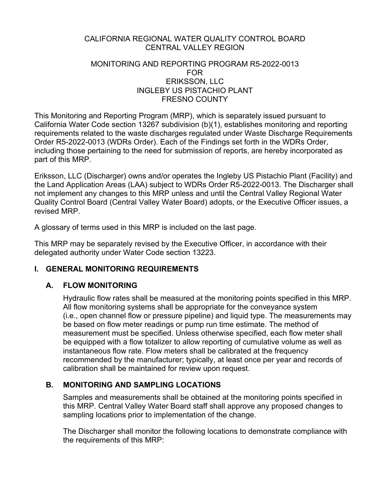### CALIFORNIA REGIONAL WATER QUALITY CONTROL BOARD CENTRAL VALLEY REGION

#### MONITORING AND REPORTING PROGRAM R5-2022-0013 FOR ERIKSSON, LLC INGLEBY US PISTACHIO PLANT FRESNO COUNTY

This Monitoring and Reporting Program (MRP), which is separately issued pursuant to California Water Code section 13267 subdivision (b)(1), establishes monitoring and reporting requirements related to the waste discharges regulated under Waste Discharge Requirements Order R5-2022-0013 (WDRs Order). Each of the Findings set forth in the WDRs Order, including those pertaining to the need for submission of reports, are hereby incorporated as part of this MRP.

Eriksson, LLC (Discharger) owns and/or operates the Ingleby US Pistachio Plant (Facility) and the Land Application Areas (LAA) subject to WDRs Order R5-2022-0013. The Discharger shall not implement any changes to this MRP unless and until the Central Valley Regional Water Quality Control Board (Central Valley Water Board) adopts, or the Executive Officer issues, a revised MRP.

A glossary of terms used in this MRP is included on the last page.

This MRP may be separately revised by the Executive Officer, in accordance with their delegated authority under Water Code section 13223.

## **I. GENERAL MONITORING REQUIREMENTS**

### **A. FLOW MONITORING**

Hydraulic flow rates shall be measured at the monitoring points specified in this MRP. All flow monitoring systems shall be appropriate for the conveyance system (i.e., open channel flow or pressure pipeline) and liquid type. The measurements may be based on flow meter readings or pump run time estimate. The method of measurement must be specified. Unless otherwise specified, each flow meter shall be equipped with a flow totalizer to allow reporting of cumulative volume as well as instantaneous flow rate. Flow meters shall be calibrated at the frequency recommended by the manufacturer; typically, at least once per year and records of calibration shall be maintained for review upon request.

## **B. MONITORING AND SAMPLING LOCATIONS**

Samples and measurements shall be obtained at the monitoring points specified in this MRP. Central Valley Water Board staff shall approve any proposed changes to sampling locations prior to implementation of the change.

The Discharger shall monitor the following locations to demonstrate compliance with the requirements of this MRP: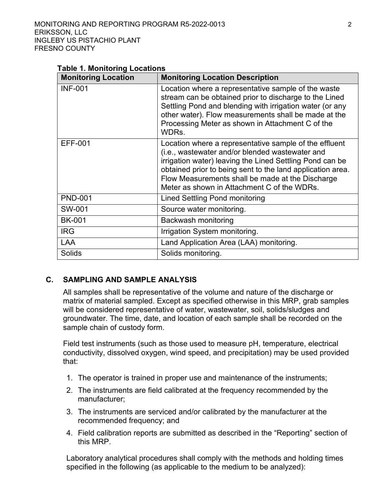#### **Table 1. Monitoring Locations**

| <b>Monitoring Location</b> | <b>Monitoring Location Description</b>                                                                                                                                                                                                                                                                                                 |
|----------------------------|----------------------------------------------------------------------------------------------------------------------------------------------------------------------------------------------------------------------------------------------------------------------------------------------------------------------------------------|
| <b>INF-001</b>             | Location where a representative sample of the waste<br>stream can be obtained prior to discharge to the Lined<br>Settling Pond and blending with irrigation water (or any<br>other water). Flow measurements shall be made at the<br>Processing Meter as shown in Attachment C of the<br>WDRs.                                         |
| <b>EFF-001</b>             | Location where a representative sample of the effluent<br>(i.e., wastewater and/or blended wastewater and<br>irrigation water) leaving the Lined Settling Pond can be<br>obtained prior to being sent to the land application area.<br>Flow Measurements shall be made at the Discharge<br>Meter as shown in Attachment C of the WDRs. |
| <b>PND-001</b>             | Lined Settling Pond monitoring                                                                                                                                                                                                                                                                                                         |
| SW-001                     | Source water monitoring.                                                                                                                                                                                                                                                                                                               |
| <b>BK-001</b>              | Backwash monitoring                                                                                                                                                                                                                                                                                                                    |
| <b>IRG</b>                 | Irrigation System monitoring.                                                                                                                                                                                                                                                                                                          |
| <b>LAA</b>                 | Land Application Area (LAA) monitoring.                                                                                                                                                                                                                                                                                                |
| Solids                     | Solids monitoring.                                                                                                                                                                                                                                                                                                                     |

#### **C. SAMPLING AND SAMPLE ANALYSIS**

All samples shall be representative of the volume and nature of the discharge or matrix of material sampled. Except as specified otherwise in this MRP, grab samples will be considered representative of water, wastewater, soil, solids/sludges and groundwater. The time, date, and location of each sample shall be recorded on the sample chain of custody form.

Field test instruments (such as those used to measure pH, temperature, electrical conductivity, dissolved oxygen, wind speed, and precipitation) may be used provided that:

- 1. The operator is trained in proper use and maintenance of the instruments;
- 2. The instruments are field calibrated at the frequency recommended by the manufacturer;
- 3. The instruments are serviced and/or calibrated by the manufacturer at the recommended frequency; and
- 4. Field calibration reports are submitted as described in the "Reporting" section of this MRP.

Laboratory analytical procedures shall comply with the methods and holding times specified in the following (as applicable to the medium to be analyzed):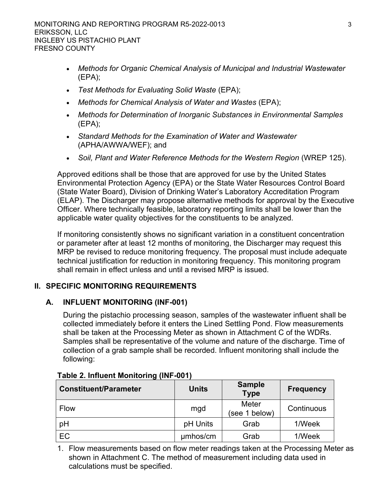- · *Methods for Organic Chemical Analysis of Municipal and Industrial Wastewater*  (EPA);
- · *Test Methods for Evaluating Solid Waste* (EPA);
- · *Methods for Chemical Analysis of Water and Wastes* (EPA);
- · *Methods for Determination of Inorganic Substances in Environmental Samples*  (EPA);
- · *Standard Methods for the Examination of Water and Wastewater*  (APHA/AWWA/WEF); and
- Soil, Plant and Water Reference Methods for the Western Region (WREP 125).

Approved editions shall be those that are approved for use by the United States Environmental Protection Agency (EPA) or the State Water Resources Control Board (State Water Board), Division of Drinking Water's Laboratory Accreditation Program (ELAP). The Discharger may propose alternative methods for approval by the Executive Officer. Where technically feasible, laboratory reporting limits shall be lower than the applicable water quality objectives for the constituents to be analyzed.

If monitoring consistently shows no significant variation in a constituent concentration or parameter after at least 12 months of monitoring, the Discharger may request this MRP be revised to reduce monitoring frequency. The proposal must include adequate technical justification for reduction in monitoring frequency. This monitoring program shall remain in effect unless and until a revised MRP is issued.

## **II. SPECIFIC MONITORING REQUIREMENTS**

## **A. INFLUENT MONITORING (INF-001)**

During the pistachio processing season, samples of the wastewater influent shall be collected immediately before it enters the Lined Settling Pond. Flow measurements shall be taken at the Processing Meter as shown in Attachment C of the WDRs. Samples shall be representative of the volume and nature of the discharge. Time of collection of a grab sample shall be recorded. Influent monitoring shall include the following:

| <b>Constituent/Parameter</b> | <b>Units</b> | <b>Sample</b><br><b>Type</b> | Frequency  |
|------------------------------|--------------|------------------------------|------------|
| Flow                         | mgd          | Meter<br>(see 1 below)       | Continuous |
| pH                           | pH Units     | Grab                         | 1/Week     |
| EC                           | umhos/cm     | Grab                         | 1/Week     |

### **Table 2. Influent Monitoring (INF-001)**

1. Flow measurements based on flow meter readings taken at the Processing Meter as shown in Attachment C. The method of measurement including data used in calculations must be specified.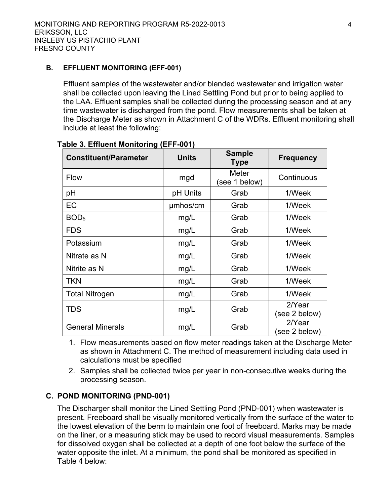#### **B. EFFLUENT MONITORING (EFF-001)**

Effluent samples of the wastewater and/or blended wastewater and irrigation water shall be collected upon leaving the Lined Settling Pond but prior to being applied to the LAA. Effluent samples shall be collected during the processing season and at any time wastewater is discharged from the pond. Flow measurements shall be taken at the Discharge Meter as shown in Attachment C of the WDRs. Effluent monitoring shall include at least the following:

| <b>Constituent/Parameter</b> | <b>Units</b> | <b>Sample</b><br><b>Type</b> | <b>Frequency</b>        |
|------------------------------|--------------|------------------------------|-------------------------|
| <b>Flow</b>                  | mgd          | Meter<br>(see 1 below)       | Continuous              |
| pH                           | pH Units     | Grab                         | 1/Week                  |
| EC                           | umhos/cm     | Grab                         | 1/Week                  |
| BOD <sub>5</sub>             | mg/L         | Grab                         | 1/Week                  |
| <b>FDS</b>                   | mg/L         | Grab                         | 1/Week                  |
| Potassium                    | mg/L         | Grab                         | 1/Week                  |
| Nitrate as N                 | mg/L         | Grab                         | 1/Week                  |
| Nitrite as N                 | mg/L         | Grab                         | 1/Week                  |
| <b>TKN</b>                   | mg/L         | Grab                         | 1/Week                  |
| <b>Total Nitrogen</b>        | mg/L         | Grab                         | 1/Week                  |
| <b>TDS</b>                   | mg/L         | Grab                         | 2/Year<br>(see 2 below) |
| <b>General Minerals</b>      | mg/L         | Grab                         | 2/Year<br>(see 2 below) |

**Table 3. Effluent Monitoring (EFF-001)**

- 1. Flow measurements based on flow meter readings taken at the Discharge Meter as shown in Attachment C. The method of measurement including data used in calculations must be specified
- 2. Samples shall be collected twice per year in non-consecutive weeks during the processing season.

## **C. POND MONITORING (PND-001)**

The Discharger shall monitor the Lined Settling Pond (PND-001) when wastewater is present. Freeboard shall be visually monitored vertically from the surface of the water to the lowest elevation of the berm to maintain one foot of freeboard. Marks may be made on the liner, or a measuring stick may be used to record visual measurements. Samples for dissolved oxygen shall be collected at a depth of one foot below the surface of the water opposite the inlet. At a minimum, the pond shall be monitored as specified in Table 4 below: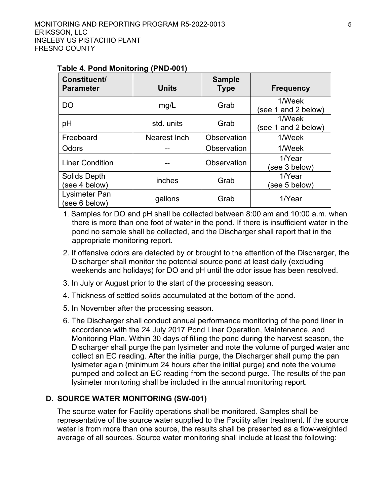| <b>Constituent/</b><br><b>Parameter</b> | <b>Units</b> | <b>Sample</b><br><b>Type</b> | <b>Frequency</b>              |
|-----------------------------------------|--------------|------------------------------|-------------------------------|
| DO                                      | mg/L         | Grab                         | 1/Week<br>(see 1 and 2 below) |
| pH                                      | std. units   | Grab                         | 1/Week<br>(see 1 and 2 below) |
| Freeboard                               | Nearest Inch | Observation                  | 1/Week                        |
| Odors                                   |              | Observation                  | 1/Week                        |
| <b>Liner Condition</b>                  |              | Observation                  | 1/Year<br>see 3 below)        |
| Solids Depth<br>(see 4 below)           | inches       | Grab                         | 1/Year<br>see 5 below)        |
| Lysimeter Pan<br>(see 6 below)          | gallons      | Grab                         | 1/Year                        |

#### **Table 4. Pond Monitoring (PND-001)**

1. Samples for DO and pH shall be collected between 8:00 am and 10:00 a.m. when there is more than one foot of water in the pond. If there is insufficient water in the pond no sample shall be collected, and the Discharger shall report that in the appropriate monitoring report.

- 2. If offensive odors are detected by or brought to the attention of the Discharger, the Discharger shall monitor the potential source pond at least daily (excluding weekends and holidays) for DO and pH until the odor issue has been resolved.
- 3. In July or August prior to the start of the processing season.
- 4. Thickness of settled solids accumulated at the bottom of the pond.
- 5. In November after the processing season.
- 6. The Discharger shall conduct annual performance monitoring of the pond liner in accordance with the 24 July 2017 Pond Liner Operation, Maintenance, and Monitoring Plan. Within 30 days of filling the pond during the harvest season, the Discharger shall purge the pan lysimeter and note the volume of purged water and collect an EC reading. After the initial purge, the Discharger shall pump the pan lysimeter again (minimum 24 hours after the initial purge) and note the volume pumped and collect an EC reading from the second purge. The results of the pan lysimeter monitoring shall be included in the annual monitoring report.

### **D. SOURCE WATER MONITORING (SW-001)**

The source water for Facility operations shall be monitored. Samples shall be representative of the source water supplied to the Facility after treatment. If the source water is from more than one source, the results shall be presented as a flow-weighted average of all sources. Source water monitoring shall include at least the following: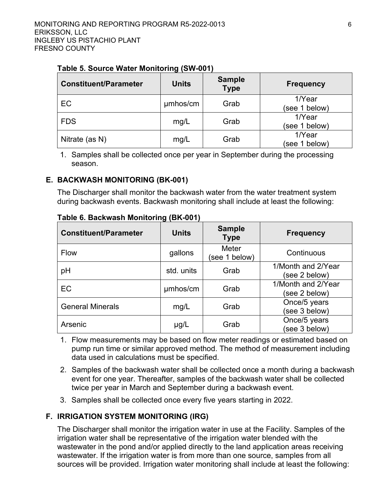| <b>Constituent/Parameter</b> | <b>Units</b> | <b>Sample</b><br><b>Type</b> | <b>Frequency</b>        |
|------------------------------|--------------|------------------------------|-------------------------|
| EC                           | umhos/cm     | Grab                         | 1/Year<br>(see 1 below) |
| <b>FDS</b>                   | mg/L         | Grab                         | 1/Year<br>(see 1 below) |
| Nitrate (as N)               | mg/L         | Grab                         | 1/Year<br>(see 1 below) |

#### **Table 5. Source Water Monitoring (SW-001)**

1. Samples shall be collected once per year in September during the processing season.

#### **E. BACKWASH MONITORING (BK-001)**

The Discharger shall monitor the backwash water from the water treatment system during backwash events. Backwash monitoring shall include at least the following:

| <b>Constituent/Parameter</b> | <b>Units</b> | <b>Sample</b><br><b>Type</b> | <b>Frequency</b>                    |
|------------------------------|--------------|------------------------------|-------------------------------------|
| <b>Flow</b>                  | gallons      | Meter<br>(see 1 below)       | Continuous                          |
| pH                           | std. units   | Grab                         | 1/Month and 2/Year<br>(see 2 below) |
| EC                           | umhos/cm     | Grab                         | 1/Month and 2/Year<br>(see 2 below) |
| <b>General Minerals</b>      | mg/L         | Grab                         | Once/5 years<br>(see 3 below)       |
| Arsenic                      | $\mu$ g/L    | Grab                         | Once/5 years<br>(see 3 below)       |

**Table 6. Backwash Monitoring (BK-001)**

- 1. Flow measurements may be based on flow meter readings or estimated based on pump run time or similar approved method. The method of measurement including data used in calculations must be specified.
- 2. Samples of the backwash water shall be collected once a month during a backwash event for one year. Thereafter, samples of the backwash water shall be collected twice per year in March and September during a backwash event.
- 3. Samples shall be collected once every five years starting in 2022.

## **F. IRRIGATION SYSTEM MONITORING (IRG)**

The Discharger shall monitor the irrigation water in use at the Facility. Samples of the irrigation water shall be representative of the irrigation water blended with the wastewater in the pond and/or applied directly to the land application areas receiving wastewater. If the irrigation water is from more than one source, samples from all sources will be provided. Irrigation water monitoring shall include at least the following: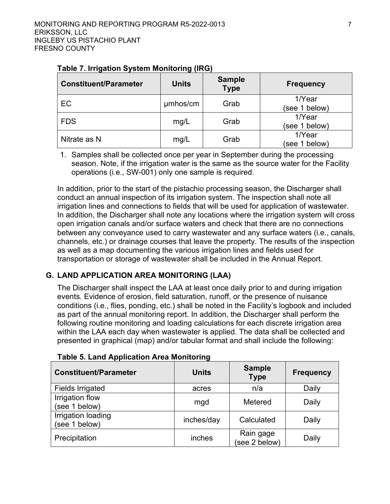| <b>Constituent/Parameter</b> | <b>Units</b> | <b>Sample</b><br><b>Type</b> | Frequency               |
|------------------------------|--------------|------------------------------|-------------------------|
| EC                           | umhos/cm     | Grab                         | 1/Year<br>(see 1 below) |
| <b>FDS</b>                   | mg/L         | Grab                         | 1/Year<br>(see 1 below) |
| Nitrate as N                 | mg/L         | Grab                         | 1/Year<br>(see 1 below) |

### **Table 7. Irrigation System Monitoring (IRG)**

1. Samples shall be collected once per year in September during the processing season. Note, if the irrigation water is the same as the source water for the Facility operations (i.e., SW-001) only one sample is required.

In addition, prior to the start of the pistachio processing season, the Discharger shall conduct an annual inspection of its irrigation system. The inspection shall note all irrigation lines and connections to fields that will be used for application of wastewater. In addition, the Discharger shall note any locations where the irrigation system will cross open irrigation canals and/or surface waters and check that there are no connections between any conveyance used to carry wastewater and any surface waters (i.e., canals, channels, etc.) or drainage courses that leave the property. The results of the inspection as well as a map documenting the various irrigation lines and fields used for transportation or storage of wastewater shall be included in the Annual Report.

# **G. LAND APPLICATION AREA MONITORING (LAA)**

The Discharger shall inspect the LAA at least once daily prior to and during irrigation events. Evidence of erosion, field saturation, runoff, or the presence of nuisance conditions (i.e., flies, ponding, etc.) shall be noted in the Facility's logbook and included as part of the annual monitoring report. In addition, the Discharger shall perform the following routine monitoring and loading calculations for each discrete irrigation area within the LAA each day when wastewater is applied. The data shall be collected and presented in graphical (map) and/or tabular format and shall include the following:

| <b>Constituent/Parameter</b>        | <b>Units</b> | <b>Sample</b><br><b>Type</b> | <b>Frequency</b> |
|-------------------------------------|--------------|------------------------------|------------------|
| <b>Fields Irrigated</b>             | acres        | n/a                          | Daily            |
| Irrigation flow<br>(see 1 below)    | mgd          | Metered                      | Daily            |
| Irrigation loading<br>(see 1 below) | inches/day   | Calculated                   | Daily            |
| Precipitation                       | inches       | Rain gage<br>(see 2 below)   | Daily            |

## **Table 5. Land Application Area Monitoring**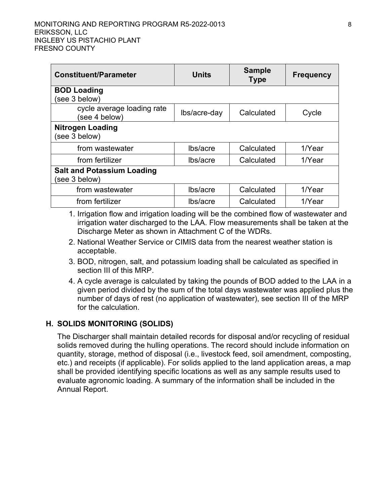#### MONITORING AND REPORTING PROGRAM R5-2022-0013 8 ERIKSSON, LLC INGLEBY US PISTACHIO PLANT FRESNO COUNTY

| <b>Constituent/Parameter</b>                       | Units        | <b>Sample</b><br><b>Type</b> | <b>Frequency</b> |
|----------------------------------------------------|--------------|------------------------------|------------------|
| <b>BOD Loading</b><br>(see 3 below)                |              |                              |                  |
| cycle average loading rate<br>see 4 below)         | lbs/acre-day | Calculated                   | Cycle            |
| <b>Nitrogen Loading</b><br>(see 3 below)           |              |                              |                  |
| from wastewater                                    | lbs/acre     | Calculated                   | 1/Year           |
| from fertilizer                                    | lbs/acre     | Calculated                   | 1/Year           |
| <b>Salt and Potassium Loading</b><br>(see 3 below) |              |                              |                  |
| from wastewater                                    | lbs/acre     | Calculated                   | 1/Year           |
| from fertilizer                                    | lbs/acre     | Calculated                   | $1$ Year         |

1. Irrigation flow and irrigation loading will be the combined flow of wastewater and irrigation water discharged to the LAA. Flow measurements shall be taken at the Discharge Meter as shown in Attachment C of the WDRs.

- 2. National Weather Service or CIMIS data from the nearest weather station is acceptable.
- 3. BOD, nitrogen, salt, and potassium loading shall be calculated as specified in section III of this MRP.
- 4. A cycle average is calculated by taking the pounds of BOD added to the LAA in a given period divided by the sum of the total days wastewater was applied plus the number of days of rest (no application of wastewater), see section III of the MRP for the calculation.

### **H. SOLIDS MONITORING (SOLIDS)**

The Discharger shall maintain detailed records for disposal and/or recycling of residual solids removed during the hulling operations. The record should include information on quantity, storage, method of disposal (i.e., livestock feed, soil amendment, composting, etc.) and receipts (if applicable). For solids applied to the land application areas, a map shall be provided identifying specific locations as well as any sample results used to evaluate agronomic loading. A summary of the information shall be included in the Annual Report.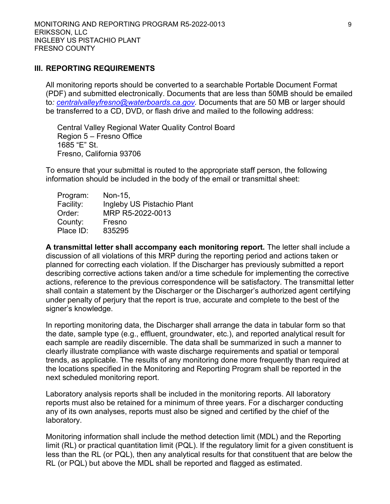#### **III. REPORTING REQUIREMENTS**

All monitoring reports should be converted to a searchable Portable Document Format (PDF) and submitted electronically. Documents that are less than 50MB should be emailed to*: [centralvalleyfresno@waterboards.ca.gov.](mailto:centralvalleyfresno@waterboards.ca.gov)* Documents that are 50 MB or larger should be transferred to a CD, DVD, or flash drive and mailed to the following address:

Central Valley Regional Water Quality Control Board Region 5 – Fresno Office 1685 "E" St. Fresno, California 93706

To ensure that your submittal is routed to the appropriate staff person, the following information should be included in the body of the email or transmittal sheet:

| Program:  | Non-15,                    |
|-----------|----------------------------|
| Facility: | Ingleby US Pistachio Plant |
| Order:    | MRP R5-2022-0013           |
| County:   | Fresno                     |
| Place ID: | 835295                     |

**A transmittal letter shall accompany each monitoring report.** The letter shall include a discussion of all violations of this MRP during the reporting period and actions taken or planned for correcting each violation. If the Discharger has previously submitted a report describing corrective actions taken and/or a time schedule for implementing the corrective actions, reference to the previous correspondence will be satisfactory. The transmittal letter shall contain a statement by the Discharger or the Discharger's authorized agent certifying under penalty of perjury that the report is true, accurate and complete to the best of the signer's knowledge.

In reporting monitoring data, the Discharger shall arrange the data in tabular form so that the date, sample type (e.g., effluent, groundwater, etc.), and reported analytical result for each sample are readily discernible. The data shall be summarized in such a manner to clearly illustrate compliance with waste discharge requirements and spatial or temporal trends, as applicable. The results of any monitoring done more frequently than required at the locations specified in the Monitoring and Reporting Program shall be reported in the next scheduled monitoring report.

Laboratory analysis reports shall be included in the monitoring reports. All laboratory reports must also be retained for a minimum of three years. For a discharger conducting any of its own analyses, reports must also be signed and certified by the chief of the laboratory.

Monitoring information shall include the method detection limit (MDL) and the Reporting limit (RL) or practical quantitation limit (PQL). If the regulatory limit for a given constituent is less than the RL (or PQL), then any analytical results for that constituent that are below the RL (or PQL) but above the MDL shall be reported and flagged as estimated.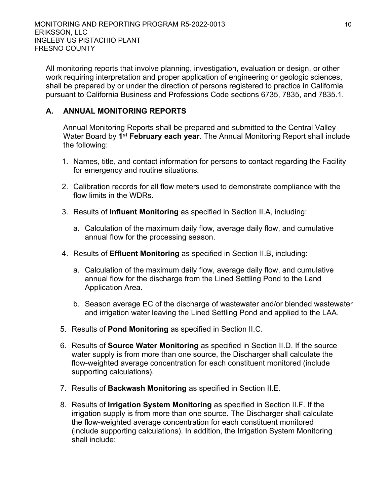All monitoring reports that involve planning, investigation, evaluation or design, or other work requiring interpretation and proper application of engineering or geologic sciences, shall be prepared by or under the direction of persons registered to practice in California pursuant to California Business and Professions Code sections 6735, 7835, and 7835.1.

### **A. ANNUAL MONITORING REPORTS**

Annual Monitoring Reports shall be prepared and submitted to the Central Valley Water Board by **1 st February each year**. The Annual Monitoring Report shall include the following:

- 1. Names, title, and contact information for persons to contact regarding the Facility for emergency and routine situations.
- 2. Calibration records for all flow meters used to demonstrate compliance with the flow limits in the WDRs.
- 3. Results of **Influent Monitoring** as specified in Section II.A, including:
	- a. Calculation of the maximum daily flow, average daily flow, and cumulative annual flow for the processing season.
- 4. Results of **Effluent Monitoring** as specified in Section II.B, including:
	- a. Calculation of the maximum daily flow, average daily flow, and cumulative annual flow for the discharge from the Lined Settling Pond to the Land Application Area.
	- b. Season average EC of the discharge of wastewater and/or blended wastewater and irrigation water leaving the Lined Settling Pond and applied to the LAA.
- 5. Results of **Pond Monitoring** as specified in Section II.C.
- 6. Results of **Source Water Monitoring** as specified in Section II.D. If the source water supply is from more than one source, the Discharger shall calculate the flow-weighted average concentration for each constituent monitored (include supporting calculations).
- 7. Results of **Backwash Monitoring** as specified in Section II.E.
- 8. Results of **Irrigation System Monitoring** as specified in Section II.F. If the irrigation supply is from more than one source. The Discharger shall calculate the flow-weighted average concentration for each constituent monitored (include supporting calculations). In addition, the Irrigation System Monitoring shall include: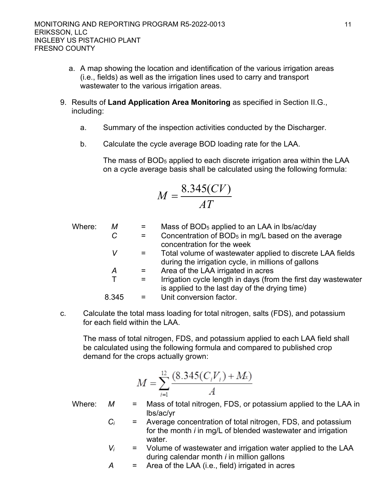- a. A map showing the location and identification of the various irrigation areas (i.e., fields) as well as the irrigation lines used to carry and transport wastewater to the various irrigation areas.
- 9. Results of **Land Application Area Monitoring** as specified in Section II.G., including:
	- a. Summary of the inspection activities conducted by the Discharger.
	- b. Calculate the cycle average BOD loading rate for the LAA.

The mass of BOD<sup>5</sup> applied to each discrete irrigation area within the LAA on a cycle average basis shall be calculated using the following formula:

$$
M = \frac{8.345(CV)}{AT}
$$

Where: *M* = Mass of BOD<sub>5</sub> applied to an LAA in lbs/ac/day  $C =$  Concentration of BOD<sub>5</sub> in mg/L based on the average concentration for the week *V* = Total volume of wastewater applied to discrete LAA fields during the irrigation cycle, in millions of gallons *A* = Area of the LAA irrigated in acres  $T =$  Irrigation cycle length in days (from the first day wastewater is applied to the last day of the drying time) 8.345 = Unit conversion factor.

c. Calculate the total mass loading for total nitrogen, salts (FDS), and potassium for each field within the LAA.

The mass of total nitrogen, FDS, and potassium applied to each LAA field shall be calculated using the following formula and compared to published crop demand for the crops actually grown:

$$
M = \sum_{i=1}^{12} \frac{(8.345(C_i V_i) + M_i)}{A}
$$

- Where: *M* = Mass of total nitrogen, FDS, or potassium applied to the LAA in lbs/ac/yr
	- *C<sup>i</sup>* = Average concentration of total nitrogen, FDS, and potassium for the month *i* in mg/L of blended wastewater and irrigation water.
	- $V_i$  = Volume of wastewater and irrigation water applied to the LAA during calendar month *i* in million gallons

$$
A = Area of the LAA (i.e., field) triggered in acres
$$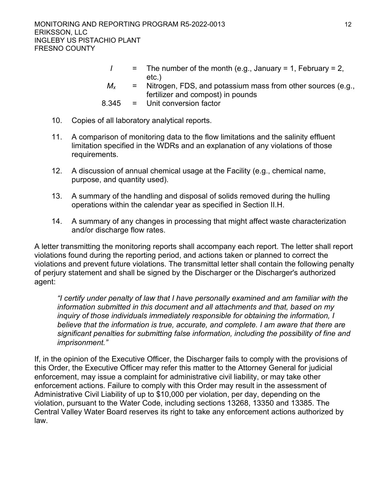- $I =$  The number of the month (e.g., January = 1, February = 2, etc.)
- $M_x$  = Nitrogen, FDS, and potassium mass from other sources (e.g., fertilizer and compost) in pounds
- 8.345 = Unit conversion factor
- 10. Copies of all laboratory analytical reports.
- 11. A comparison of monitoring data to the flow limitations and the salinity effluent limitation specified in the WDRs and an explanation of any violations of those requirements.
- 12. A discussion of annual chemical usage at the Facility (e.g., chemical name, purpose, and quantity used).
- 13. A summary of the handling and disposal of solids removed during the hulling operations within the calendar year as specified in Section II.H.
- 14. A summary of any changes in processing that might affect waste characterization and/or discharge flow rates.

A letter transmitting the monitoring reports shall accompany each report. The letter shall report violations found during the reporting period, and actions taken or planned to correct the violations and prevent future violations. The transmittal letter shall contain the following penalty of perjury statement and shall be signed by the Discharger or the Discharger's authorized agent:

*"I certify under penalty of law that I have personally examined and am familiar with the information submitted in this document and all attachments and that, based on my inquiry of those individuals immediately responsible for obtaining the information, I believe that the information is true, accurate, and complete. I am aware that there are significant penalties for submitting false information, including the possibility of fine and imprisonment."*

If, in the opinion of the Executive Officer, the Discharger fails to comply with the provisions of this Order, the Executive Officer may refer this matter to the Attorney General for judicial enforcement, may issue a complaint for administrative civil liability, or may take other enforcement actions. Failure to comply with this Order may result in the assessment of Administrative Civil Liability of up to \$10,000 per violation, per day, depending on the violation, pursuant to the Water Code, including sections 13268, 13350 and 13385. The Central Valley Water Board reserves its right to take any enforcement actions authorized by law.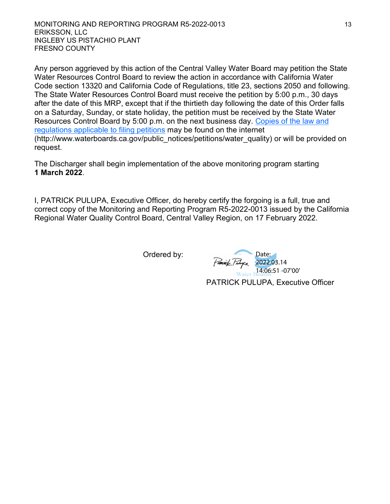MONITORING AND REPORTING PROGRAM R5-2022-0013 13 ERIKSSON, LLC INGLEBY US PISTACHIO PLANT FRESNO COUNTY

Any person aggrieved by this action of the Central Valley Water Board may petition the State Water Resources Control Board to review the action in accordance with California Water Code section 13320 and California Code of Regulations, title 23, sections 2050 and following. The State Water Resources Control Board must receive the petition by 5:00 p.m., 30 days after the date of this MRP, except that if the thirtieth day following the date of this Order falls on a Saturday, Sunday, or state holiday, the petition must be received by the State Water Resources Control Board by 5:00 p.m. on the next business day. [Copies of the law and](http://www.waterboards.ca.gov/public_notices/petitions/water_quality)  [regulations applicable to filing petitions](http://www.waterboards.ca.gov/public_notices/petitions/water_quality) may be found on the internet (http://www.waterboards.ca.gov/public\_notices/petitions/water\_quality) or will be provided on request.

The Discharger shall begin implementation of the above monitoring program starting **1 March 2022**.

I, PATRICK PULUPA, Executive Officer, do hereby certify the forgoing is a full, true and correct copy of the Monitoring and Reporting Program R5-2022-0013 issued by the California Regional Water Quality Control Board, Central Valley Region, on 17 February 2022.

Ordered by:

PATRICK PULUPA, Executive Officer Date: 2022.03.14 14:06:51 -07'00'